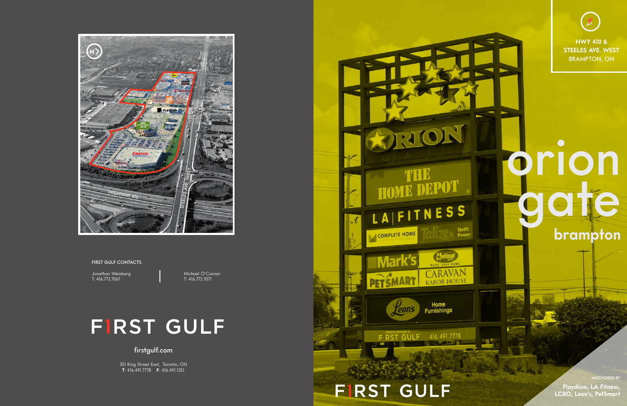**HWY 410 & STEELES AVE. WEST** BRAMPTON, ON

#### firstgulf.com

351 King Street East, Toronto, ON **T**: 416.491.7778 **F**: 416.491.1351



FIRST GULF CONTACTS

Jonathan Weinberg (1998) Michael O'Connor<br>T: 416.773.7067 (1997) T: 416.773.7071 T: 416.773.7067

## **FIRST GULF**



# orion belle **brampton**

ANCHORED BY **Playdium, LA Fitness, LCBO, Leon's, PetSmart**